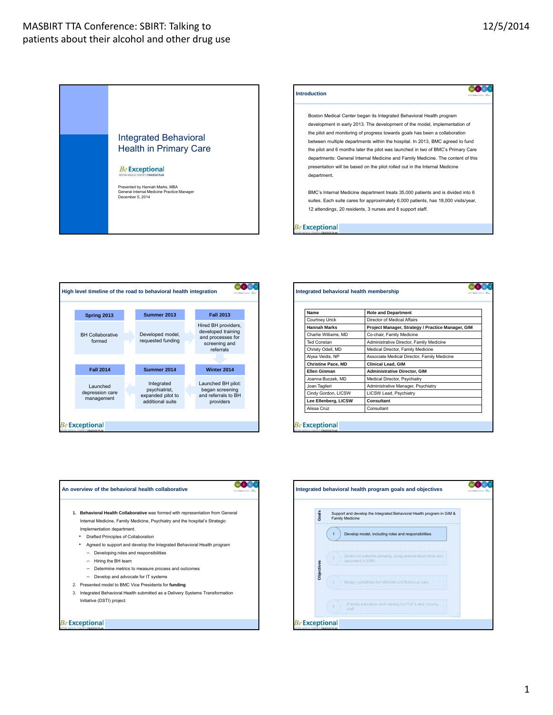





| Name                      | <b>Role and Department</b>                        |
|---------------------------|---------------------------------------------------|
| <b>Courtney Urick</b>     | Director of Medical Affairs                       |
| <b>Hannah Marks</b>       | Project Manager, Strategy / Practice Manager, GIM |
| Charlie Williams, MD      | Co-chair, Family Medicine                         |
| <b>Ted Constan</b>        | Administrative Director, Family Medicine          |
| Christy Odell, MD         | Medical Director, Family Medicine                 |
| Alysa Veidis, NP          | Associate Medical Director, Family Medicine       |
| <b>Christine Pace, MD</b> | Clinical Lead, GIM                                |
| <b>Flien Ginman</b>       | <b>Administrative Director, GIM</b>               |
| Joanna Buczek, MD         | Medical Director, Psychiatry                      |
| Joan Taglieri             | Administrative Manager, Psychiatry                |
| Cindy Gordon, LICSW       | LICSW Lead, Psychiatry                            |
| Lee Ellenberg, LICSW      | Consultant                                        |
| Alissa Cruz               | Consultant                                        |



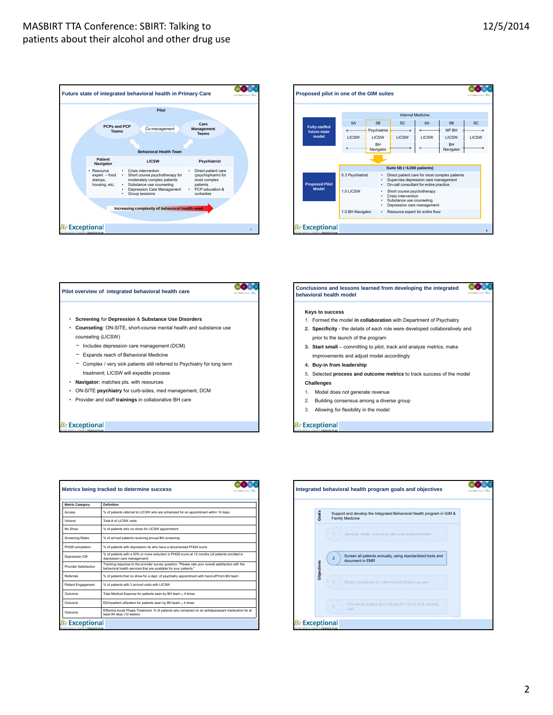





| Metrics being tracked to determine success                  |                                                                                                                                                                         |  |
|-------------------------------------------------------------|-------------------------------------------------------------------------------------------------------------------------------------------------------------------------|--|
| <b>Metric Category</b>                                      | Definition                                                                                                                                                              |  |
| Access                                                      | % of patients referred to LICSW who are scheduled for an appointment within 14 days                                                                                     |  |
| Volume                                                      | Total # of LICSW visits                                                                                                                                                 |  |
| No Show                                                     | % of patients who no show for LICSW appointment                                                                                                                         |  |
| <b>Screening Rates</b>                                      | % of arrived patients receiving annual BH screening                                                                                                                     |  |
| PHQ9 completion                                             | % of patients with depression dx who have a documented PHQ9 score                                                                                                       |  |
| Depression CM                                               | % of patients with a 50% or more reduction in PHQ9 score at 12 months (of patients enrolled in<br>depression care management)                                           |  |
| Provider Satisfaction                                       | Tracking response to the provider survey question: "Please rate your overall satisfaction with the<br>behavioral health services that are available for your patients." |  |
| Referrals                                                   | % of patients that no show for a dept. of psychiatry appointment with hand-off from BH team                                                                             |  |
| Patient Engagement                                          | % of patients with 3 arrived visits with LICSW                                                                                                                          |  |
| Outcome                                                     | Total Medical Expense for patients seen by BH team $\geq 4$ times                                                                                                       |  |
| Outcome                                                     | ED/inpatient utilization for patients seen by BH team ≥ 4 times                                                                                                         |  |
| Outcome                                                     | Effective Acute Phase Treatment: % of patients who remained on an antidepressant medication for at<br>least 84 days (12 weeks)                                          |  |
| <b>Be Exceptional</b><br>IN MEDICAL CENTER'S STRATEGIC PLAN |                                                                                                                                                                         |  |

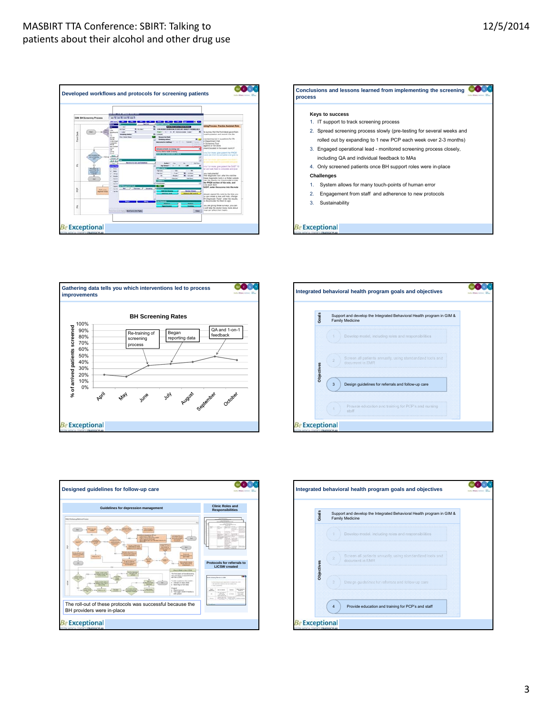